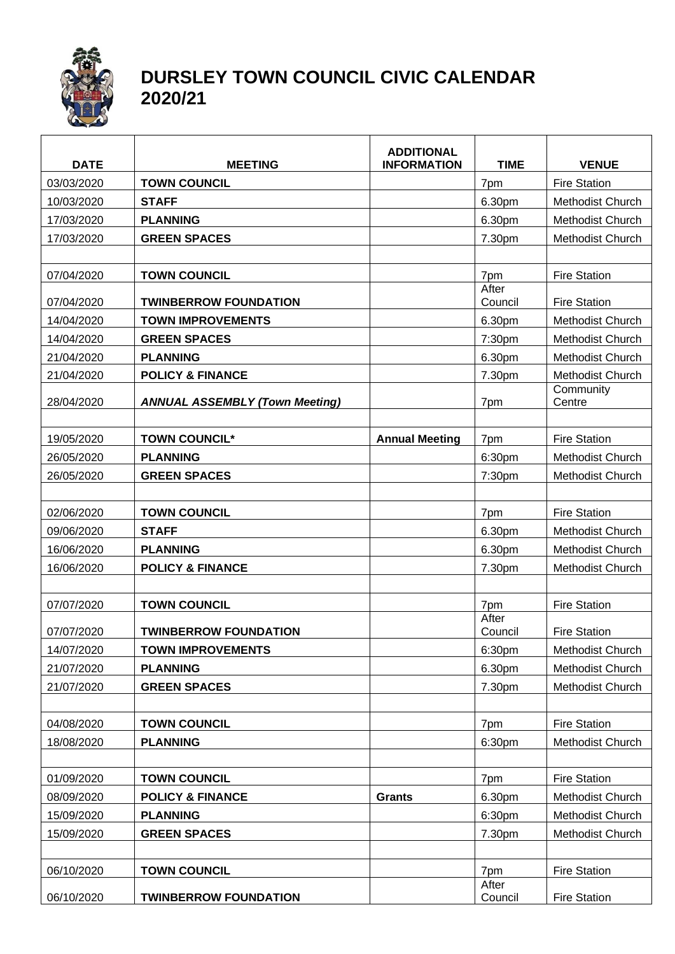

## **DURSLEY TOWN COUNCIL CIVIC CALENDAR 2020/21**

| <b>DATE</b> | <b>MEETING</b>                        | <b>ADDITIONAL</b><br><b>INFORMATION</b> | <b>TIME</b>      | <b>VENUE</b>            |
|-------------|---------------------------------------|-----------------------------------------|------------------|-------------------------|
| 03/03/2020  | <b>TOWN COUNCIL</b>                   |                                         | 7pm              | <b>Fire Station</b>     |
| 10/03/2020  | <b>STAFF</b>                          |                                         | 6.30pm           | Methodist Church        |
| 17/03/2020  | <b>PLANNING</b>                       |                                         | 6.30pm           | Methodist Church        |
| 17/03/2020  | <b>GREEN SPACES</b>                   |                                         | 7.30pm           | Methodist Church        |
|             |                                       |                                         |                  |                         |
| 07/04/2020  | <b>TOWN COUNCIL</b>                   |                                         | 7pm              | <b>Fire Station</b>     |
| 07/04/2020  | <b>TWINBERROW FOUNDATION</b>          |                                         | After<br>Council | <b>Fire Station</b>     |
| 14/04/2020  | <b>TOWN IMPROVEMENTS</b>              |                                         | 6.30pm           | <b>Methodist Church</b> |
| 14/04/2020  | <b>GREEN SPACES</b>                   |                                         | 7:30pm           | Methodist Church        |
| 21/04/2020  | <b>PLANNING</b>                       |                                         | 6.30pm           | Methodist Church        |
| 21/04/2020  | <b>POLICY &amp; FINANCE</b>           |                                         | 7.30pm           | <b>Methodist Church</b> |
| 28/04/2020  | <b>ANNUAL ASSEMBLY (Town Meeting)</b> |                                         | 7pm              | Community<br>Centre     |
|             |                                       |                                         |                  |                         |
| 19/05/2020  | <b>TOWN COUNCIL*</b>                  | <b>Annual Meeting</b>                   | 7pm              | <b>Fire Station</b>     |
| 26/05/2020  | <b>PLANNING</b>                       |                                         | 6:30pm           | <b>Methodist Church</b> |
| 26/05/2020  | <b>GREEN SPACES</b>                   |                                         | 7:30pm           | <b>Methodist Church</b> |
| 02/06/2020  | <b>TOWN COUNCIL</b>                   |                                         | 7pm              | <b>Fire Station</b>     |
| 09/06/2020  | <b>STAFF</b>                          |                                         | 6.30pm           | <b>Methodist Church</b> |
| 16/06/2020  | <b>PLANNING</b>                       |                                         | 6.30pm           | Methodist Church        |
| 16/06/2020  | <b>POLICY &amp; FINANCE</b>           |                                         | 7.30pm           | Methodist Church        |
|             |                                       |                                         |                  |                         |
| 07/07/2020  | <b>TOWN COUNCIL</b>                   |                                         | 7pm              | <b>Fire Station</b>     |
| 07/07/2020  | <b>TWINBERROW FOUNDATION</b>          |                                         | After<br>Council | <b>Fire Station</b>     |
| 14/07/2020  | <b>TOWN IMPROVEMENTS</b>              |                                         | 6:30pm           | Methodist Church        |
| 21/07/2020  | <b>PLANNING</b>                       |                                         | 6.30pm           | <b>Methodist Church</b> |
| 21/07/2020  | <b>GREEN SPACES</b>                   |                                         | 7.30pm           | Methodist Church        |
|             |                                       |                                         |                  |                         |
| 04/08/2020  | <b>TOWN COUNCIL</b>                   |                                         | 7pm              | <b>Fire Station</b>     |
| 18/08/2020  | <b>PLANNING</b>                       |                                         | 6:30pm           | Methodist Church        |
|             |                                       |                                         |                  |                         |
| 01/09/2020  | <b>TOWN COUNCIL</b>                   |                                         | 7pm              | <b>Fire Station</b>     |
| 08/09/2020  | <b>POLICY &amp; FINANCE</b>           | <b>Grants</b>                           | 6.30pm           | <b>Methodist Church</b> |
| 15/09/2020  | <b>PLANNING</b>                       |                                         | 6:30pm           | Methodist Church        |
| 15/09/2020  | <b>GREEN SPACES</b>                   |                                         | 7.30pm           | Methodist Church        |
|             |                                       |                                         |                  |                         |
| 06/10/2020  | <b>TOWN COUNCIL</b>                   |                                         | 7pm              | <b>Fire Station</b>     |
| 06/10/2020  | <b>TWINBERROW FOUNDATION</b>          |                                         | After<br>Council | <b>Fire Station</b>     |